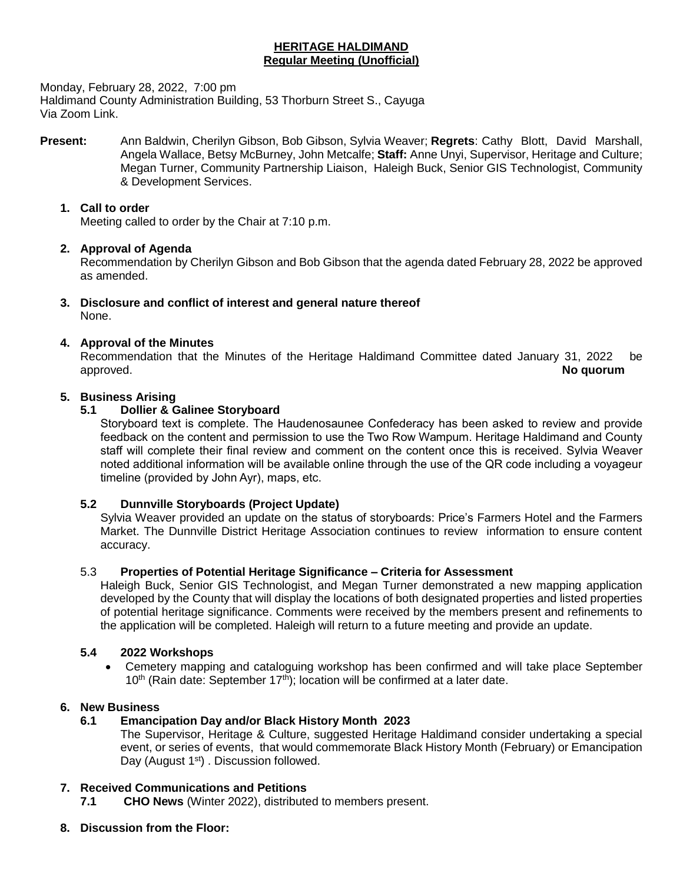# **HERITAGE HALDIMAND Regular Meeting (Unofficial)**

Monday, February 28, 2022, 7:00 pm

Haldimand County Administration Building, 53 Thorburn Street S., Cayuga Via Zoom Link.

**Present:** Ann Baldwin, Cherilyn Gibson, Bob Gibson, Sylvia Weaver; **Regrets**: Cathy Blott, David Marshall, Angela Wallace, Betsy McBurney, John Metcalfe; **Staff:** Anne Unyi, Supervisor, Heritage and Culture; Megan Turner, Community Partnership Liaison, Haleigh Buck, Senior GIS Technologist, Community & Development Services.

#### **1. Call to order**

Meeting called to order by the Chair at 7:10 p.m.

## **2. Approval of Agenda**

Recommendation by Cherilyn Gibson and Bob Gibson that the agenda dated February 28, 2022 be approved as amended.

**3. Disclosure and conflict of interest and general nature thereof** None.

## **4. Approval of the Minutes**

Recommendation that the Minutes of the Heritage Haldimand Committee dated January 31, 2022 be approved. **No quorum**

## **5. Business Arising**

# **5.1 Dollier & Galinee Storyboard**

Storyboard text is complete. The Haudenosaunee Confederacy has been asked to review and provide feedback on the content and permission to use the Two Row Wampum. Heritage Haldimand and County staff will complete their final review and comment on the content once this is received. Sylvia Weaver noted additional information will be available online through the use of the QR code including a voyageur timeline (provided by John Ayr), maps, etc.

#### **5.2 Dunnville Storyboards (Project Update)**

Sylvia Weaver provided an update on the status of storyboards: Price's Farmers Hotel and the Farmers Market. The Dunnville District Heritage Association continues to review information to ensure content accuracy.

#### 5.3 **Properties of Potential Heritage Significance – Criteria for Assessment**

Haleigh Buck, Senior GIS Technologist, and Megan Turner demonstrated a new mapping application developed by the County that will display the locations of both designated properties and listed properties of potential heritage significance. Comments were received by the members present and refinements to the application will be completed. Haleigh will return to a future meeting and provide an update.

#### **5.4 2022 Workshops**

 Cemetery mapping and cataloguing workshop has been confirmed and will take place September  $10<sup>th</sup>$  (Rain date: September  $17<sup>th</sup>$ ); location will be confirmed at a later date.

#### **6. New Business**

# **6.1 Emancipation Day and/or Black History Month 2023**

The Supervisor, Heritage & Culture, suggested Heritage Haldimand consider undertaking a special event, or series of events, that would commemorate Black History Month (February) or Emancipation Day (August 1<sup>st</sup>). Discussion followed.

#### **7. Received Communications and Petitions**

**7.1 CHO News** (Winter 2022), distributed to members present.

**8. Discussion from the Floor:**